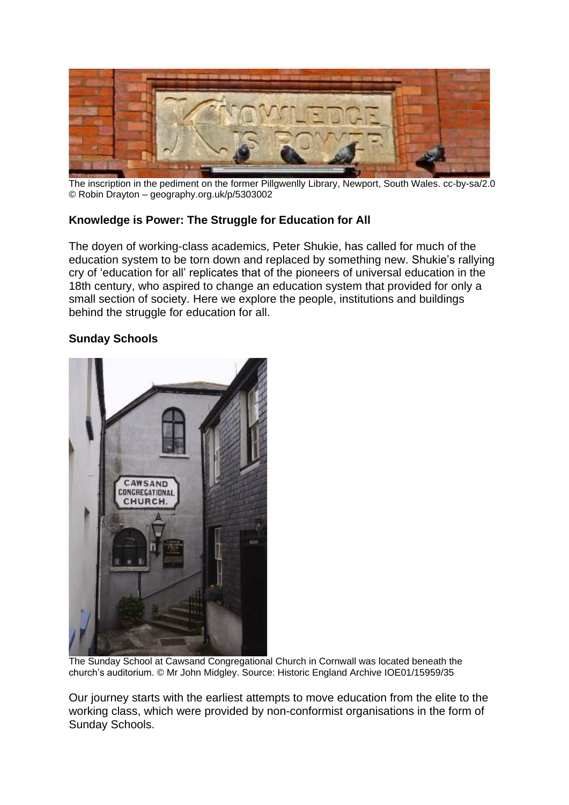

The inscription in the pediment on the former Pillgwenlly Library, Newport, South Wales. cc-by-sa/2.0 © Robin Drayton – geography.org.uk/p/5303002

# **Knowledge is Power: The Struggle for Education for All**

The doyen of working-class academics, Peter Shukie, has called for much of the education system to be torn down and replaced by something new. Shukie's rallying cry of 'education for all' replicates that of the pioneers of universal education in the 18th century, who aspired to change an education system that provided for only a small section of society. Here we explore the people, institutions and buildings behind the struggle for education for all.

# **Sunday Schools**



The Sunday School at Cawsand Congregational Church in Cornwall was located beneath the church's auditorium. © Mr John Midgley. Source: Historic England Archive IOE01/15959/35

Our journey starts with the earliest attempts to move education from the elite to the working class, which were provided by non-conformist organisations in the form of Sunday Schools.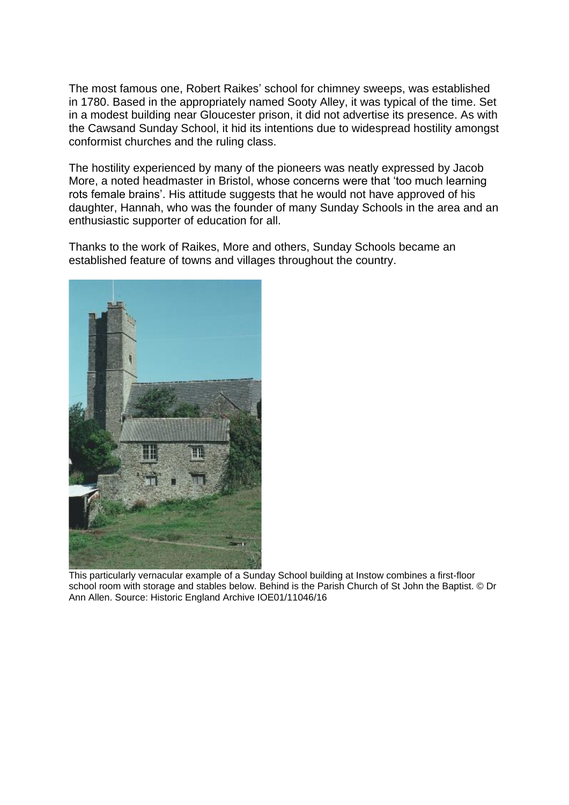The most famous one, Robert Raikes' school for chimney sweeps, was established in 1780. Based in the appropriately named Sooty Alley, it was typical of the time. Set in a modest building near Gloucester prison, it did not advertise its presence. As with the Cawsand Sunday School, it hid its intentions due to widespread hostility amongst conformist churches and the ruling class.

The hostility experienced by many of the pioneers was neatly expressed by Jacob More, a noted headmaster in Bristol, whose concerns were that 'too much learning rots female brains'. His attitude suggests that he would not have approved of his daughter, Hannah, who was the founder of many Sunday Schools in the area and an enthusiastic supporter of education for all.

Thanks to the work of Raikes, More and others, Sunday Schools became an established feature of towns and villages throughout the country.



This particularly vernacular example of a Sunday School building at Instow combines a first-floor school room with storage and stables below. Behind is the Parish Church of St John the Baptist. © Dr Ann Allen. Source: Historic England Archive IOE01/11046/16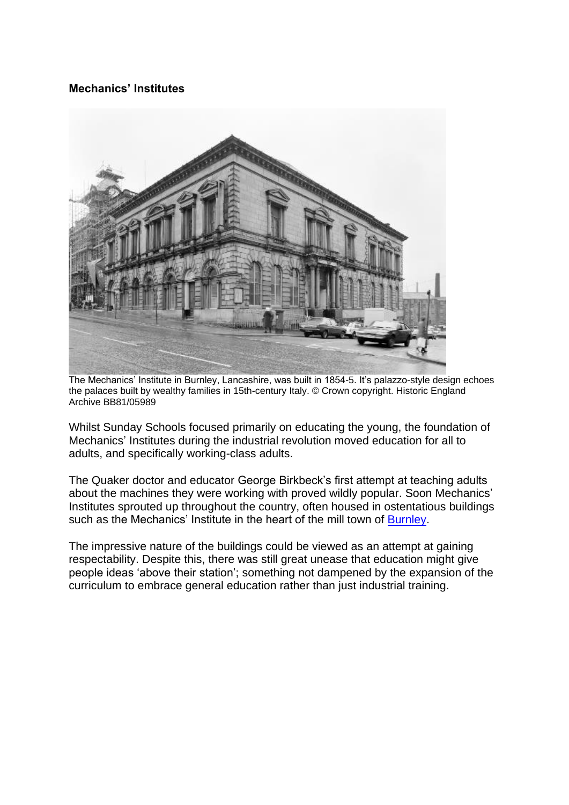## **Mechanics' Institutes**



The Mechanics' Institute in Burnley, Lancashire, was built in 1854-5. It's palazzo-style design echoes the palaces built by wealthy families in 15th-century Italy. © Crown copyright. Historic England Archive BB81/05989

Whilst Sunday Schools focused primarily on educating the young, the foundation of Mechanics' Institutes during the industrial revolution moved education for all to adults, and specifically working-class adults.

The Quaker doctor and educator George Birkbeck's first attempt at teaching adults about the machines they were working with proved wildly popular. Soon Mechanics' Institutes sprouted up throughout the country, often housed in ostentatious buildings such as the Mechanics' Institute in the heart of the mill town of [Burnley.](https://historicengland.org.uk/images-books/photos/item/BB81/05989)

The impressive nature of the buildings could be viewed as an attempt at gaining respectability. Despite this, there was still great unease that education might give people ideas 'above their station'; something not dampened by the expansion of the curriculum to embrace general education rather than just industrial training.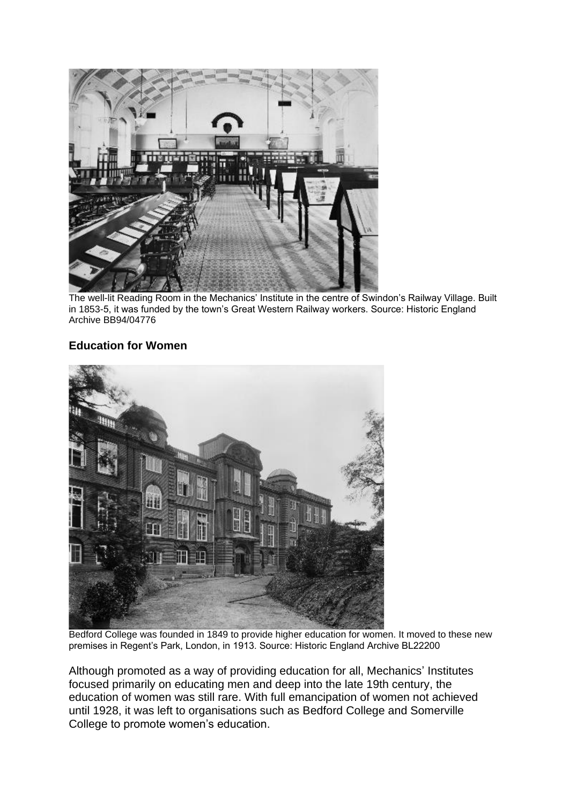

The well-lit Reading Room in the Mechanics' Institute in the centre of Swindon's Railway Village. Built in 1853-5, it was funded by the town's Great Western Railway workers. Source: Historic England Archive BB94/04776

## **Education for Women**



Bedford College was founded in 1849 to provide higher education for women. It moved to these new premises in Regent's Park, London, in 1913. Source: Historic England Archive BL22200

Although promoted as a way of providing education for all, Mechanics' Institutes focused primarily on educating men and deep into the late 19th century, the education of women was still rare. With full emancipation of women not achieved until 1928, it was left to organisations such as Bedford College and Somerville College to promote women's education.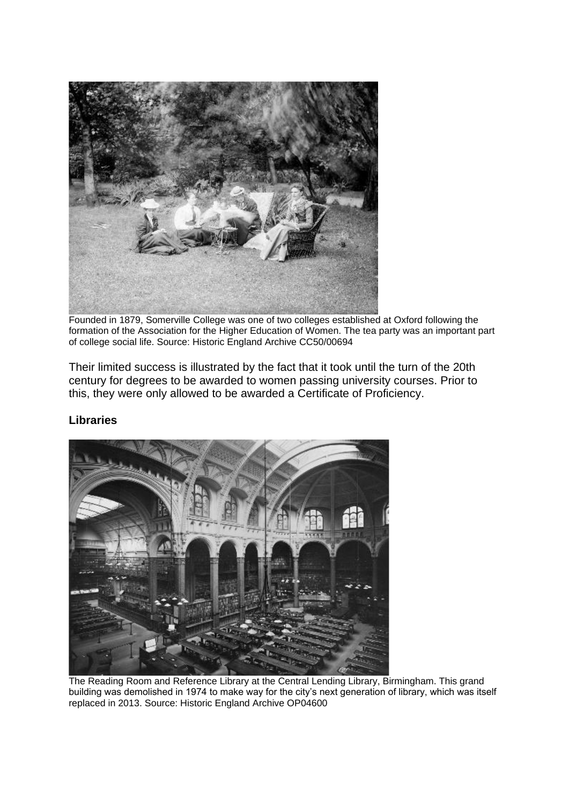

Founded in 1879, Somerville College was one of two colleges established at Oxford following the formation of the Association for the Higher Education of Women. The tea party was an important part of college social life. Source: Historic England Archive CC50/00694

Their limited success is illustrated by the fact that it took until the turn of the 20th century for degrees to be awarded to women passing university courses. Prior to this, they were only allowed to be awarded a Certificate of Proficiency.

#### **Libraries**



The Reading Room and Reference Library at the Central Lending Library, Birmingham. This grand building was demolished in 1974 to make way for the city's next generation of library, which was itself replaced in 2013. Source: Historic England Archive OP04600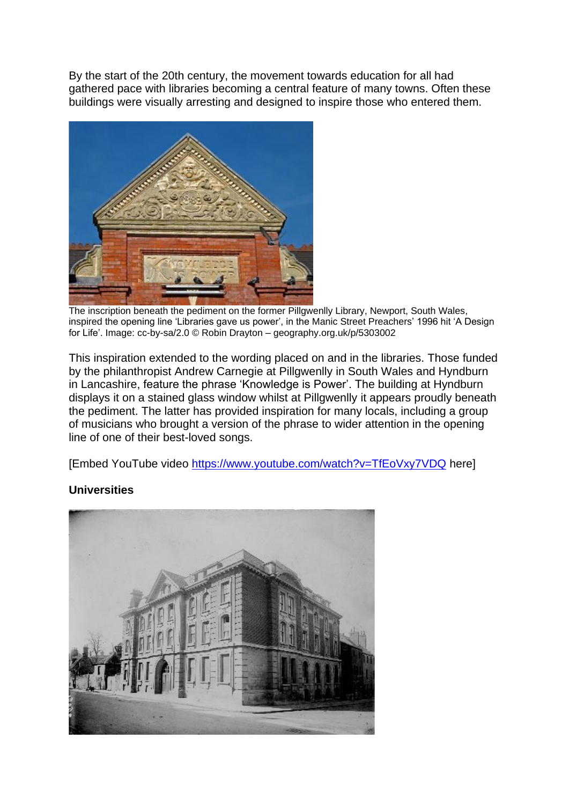By the start of the 20th century, the movement towards education for all had gathered pace with libraries becoming a central feature of many towns. Often these buildings were visually arresting and designed to inspire those who entered them.



The inscription beneath the pediment on the former Pillgwenlly Library, Newport, South Wales, inspired the opening line 'Libraries gave us power', in the Manic Street Preachers' 1996 hit 'A Design for Life'. Image: cc-by-sa/2.0 © Robin Drayton – geography.org.uk/p/5303002

This inspiration extended to the wording placed on and in the libraries. Those funded by the philanthropist Andrew Carnegie at Pillgwenlly in South Wales and Hyndburn in Lancashire, feature the phrase 'Knowledge is Power'. The building at Hyndburn displays it on a stained glass window whilst at Pillgwenlly it appears proudly beneath the pediment. The latter has provided inspiration for many locals, including a group of musicians who brought a version of the phrase to wider attention in the opening line of one of their best-loved songs.

[Embed YouTube video<https://www.youtube.com/watch?v=TfEoVxy7VDQ> here]

# **Universities**

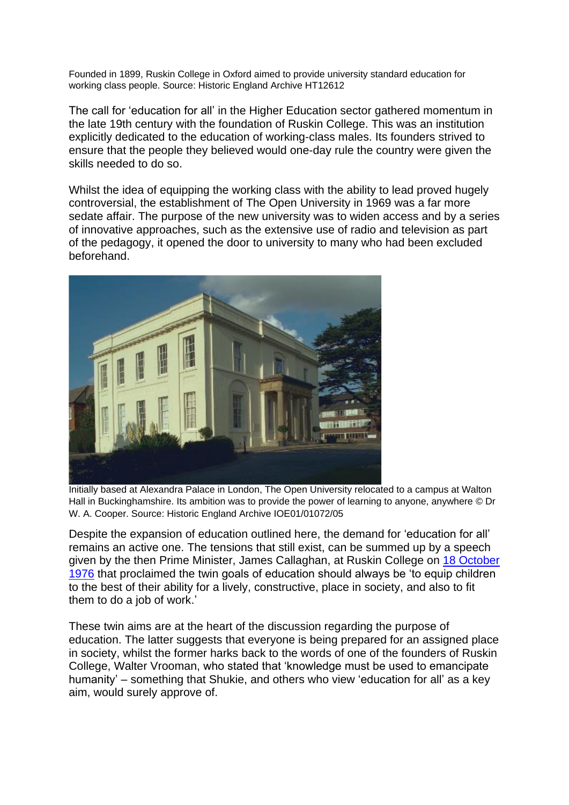Founded in 1899, Ruskin College in Oxford aimed to provide university standard education for working class people. Source: Historic England Archive HT12612

The call for 'education for all' in the Higher Education sector gathered momentum in the late 19th century with the foundation of Ruskin College. This was an institution explicitly dedicated to the education of working-class males. Its founders strived to ensure that the people they believed would one-day rule the country were given the skills needed to do so.

Whilst the idea of equipping the working class with the ability to lead proved hugely controversial, the establishment of The Open University in 1969 was a far more sedate affair. The purpose of the new university was to widen access and by a series of innovative approaches, such as the extensive use of radio and television as part of the pedagogy, it opened the door to university to many who had been excluded beforehand.



Initially based at Alexandra Palace in London, The Open University relocated to a campus at Walton Hall in Buckinghamshire. Its ambition was to provide the power of learning to anyone, anywhere © Dr W. A. Cooper. Source: Historic England Archive IOE01/01072/05

Despite the expansion of education outlined here, the demand for 'education for all' remains an active one. The tensions that still exist, can be summed up by a speech given by the then Prime Minister, James Callaghan, at Ruskin College on [18 October](http://www.educationengland.org.uk/documents/speeches/1976ruskin.html)  [1976](http://www.educationengland.org.uk/documents/speeches/1976ruskin.html) that proclaimed the twin goals of education should always be 'to equip children to the best of their ability for a lively, constructive, place in society, and also to fit them to do a job of work.'

These twin aims are at the heart of the discussion regarding the purpose of education. The latter suggests that everyone is being prepared for an assigned place in society, whilst the former harks back to the words of one of the founders of Ruskin College, Walter Vrooman, who stated that 'knowledge must be used to emancipate humanity' – something that Shukie, and others who view 'education for all' as a key aim, would surely approve of.